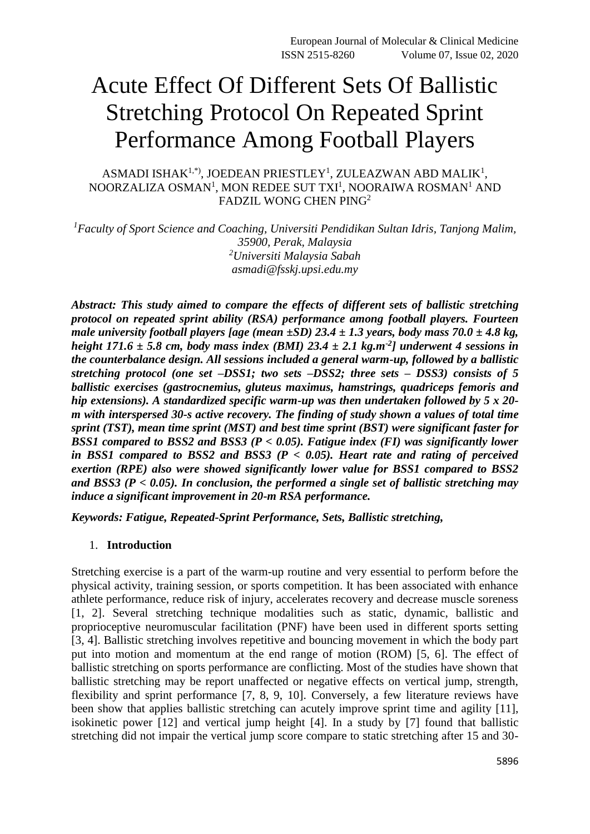# Acute Effect Of Different Sets Of Ballistic Stretching Protocol On Repeated Sprint Performance Among Football Players

ASMADI ISHA $\mathrm{K}^{1,\mathrm{*}}$ ), JOEDEAN PRIESTLEY $^1$ , ZULEAZWAN ABD MALIK $^1$ , NOORZALIZA OSMAN<sup>1</sup>, MON REDEE SUT TXI<sup>1</sup>, NOORAIWA ROSMAN<sup>1</sup> AND FADZIL WONG CHEN PING<sup>2</sup>

*<sup>1</sup>Faculty of Sport Science and Coaching, Universiti Pendidikan Sultan Idris, Tanjong Malim, 35900, Perak, Malaysia <sup>2</sup>Universiti Malaysia Sabah asmadi@fsskj.upsi.edu.my*

*Abstract: This study aimed to compare the effects of different sets of ballistic stretching protocol on repeated sprint ability (RSA) performance among football players. Fourteen male university football players [age (mean ±SD) 23.4 ± 1.3 years, body mass 70.0 ± 4.8 kg, height 171.6 ± 5.8 cm, body mass index (BMI) 23.4 ± 2.1 kg.m-2 ] underwent 4 sessions in the counterbalance design. All sessions included a general warm-up, followed by a ballistic stretching protocol (one set –DSS1; two sets –DSS2; three sets – DSS3) consists of 5 ballistic exercises (gastrocnemius, gluteus maximus, hamstrings, quadriceps femoris and hip extensions). A standardized specific warm-up was then undertaken followed by 5 x 20 m with interspersed 30-s active recovery. The finding of study shown a values of total time sprint (TST), mean time sprint (MST) and best time sprint (BST) were significant faster for BSS1 compared to BSS2 and BSS3 (P < 0.05). Fatigue index (FI) was significantly lower in BSS1 compared to BSS2 and BSS3 (P < 0.05). Heart rate and rating of perceived exertion (RPE) also were showed significantly lower value for BSS1 compared to BSS2 and BSS3 (P < 0.05). In conclusion, the performed a single set of ballistic stretching may induce a significant improvement in 20-m RSA performance.*

*Keywords: Fatigue, Repeated-Sprint Performance, Sets, Ballistic stretching,* 

#### 1. **Introduction**

Stretching exercise is a part of the warm-up routine and very essential to perform before the physical activity, training session, or sports competition. It has been associated with enhance athlete performance, reduce risk of injury, accelerates recovery and decrease muscle soreness [1, 2]. Several stretching technique modalities such as static, dynamic, ballistic and proprioceptive neuromuscular facilitation (PNF) have been used in different sports setting [3, 4]. Ballistic stretching involves repetitive and bouncing movement in which the body part put into motion and momentum at the end range of motion (ROM) [5, 6]. The effect of ballistic stretching on sports performance are conflicting. Most of the studies have shown that ballistic stretching may be report unaffected or negative effects on vertical jump, strength, flexibility and sprint performance [7, 8, 9, 10]. Conversely, a few literature reviews have been show that applies ballistic stretching can acutely improve sprint time and agility [11], isokinetic power [12] and vertical jump height [4]. In a study by [7] found that ballistic stretching did not impair the vertical jump score compare to static stretching after 15 and 30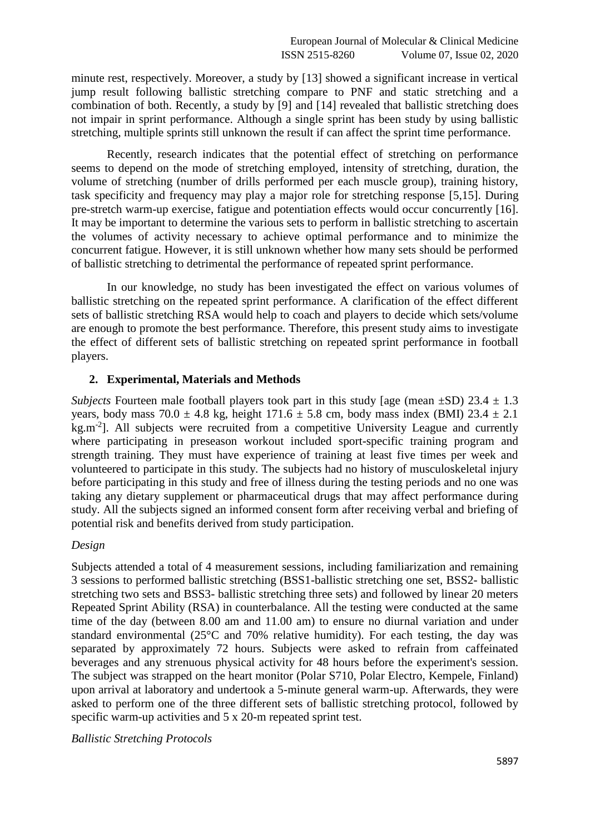minute rest, respectively. Moreover, a study by [13] showed a significant increase in vertical jump result following ballistic stretching compare to PNF and static stretching and a combination of both. Recently, a study by [9] and [14] revealed that ballistic stretching does not impair in sprint performance. Although a single sprint has been study by using ballistic stretching, multiple sprints still unknown the result if can affect the sprint time performance.

Recently, research indicates that the potential effect of stretching on performance seems to depend on the mode of stretching employed, intensity of stretching, duration, the volume of stretching (number of drills performed per each muscle group), training history, task specificity and frequency may play a major role for stretching response [5,15]. During pre-stretch warm-up exercise, fatigue and potentiation effects would occur concurrently [16]. It may be important to determine the various sets to perform in ballistic stretching to ascertain the volumes of activity necessary to achieve optimal performance and to minimize the concurrent fatigue. However, it is still unknown whether how many sets should be performed of ballistic stretching to detrimental the performance of repeated sprint performance.

In our knowledge, no study has been investigated the effect on various volumes of ballistic stretching on the repeated sprint performance. A clarification of the effect different sets of ballistic stretching RSA would help to coach and players to decide which sets/volume are enough to promote the best performance. Therefore, this present study aims to investigate the effect of different sets of ballistic stretching on repeated sprint performance in football players.

# **2. Experimental, Materials and Methods**

*Subjects* Fourteen male football players took part in this study [age (mean  $\pm$ SD) 23.4  $\pm$  1.3 years, body mass  $70.0 \pm 4.8$  kg, height  $171.6 \pm 5.8$  cm, body mass index (BMI)  $23.4 \pm 2.1$  $kg.m<sup>-2</sup>$ ]. All subjects were recruited from a competitive University League and currently where participating in preseason workout included sport-specific training program and strength training. They must have experience of training at least five times per week and volunteered to participate in this study. The subjects had no history of musculoskeletal injury before participating in this study and free of illness during the testing periods and no one was taking any dietary supplement or pharmaceutical drugs that may affect performance during study. All the subjects signed an informed consent form after receiving verbal and briefing of potential risk and benefits derived from study participation.

#### *Design*

Subjects attended a total of 4 measurement sessions, including familiarization and remaining 3 sessions to performed ballistic stretching (BSS1-ballistic stretching one set, BSS2- ballistic stretching two sets and BSS3- ballistic stretching three sets) and followed by linear 20 meters Repeated Sprint Ability (RSA) in counterbalance. All the testing were conducted at the same time of the day (between 8.00 am and 11.00 am) to ensure no diurnal variation and under standard environmental (25°C and 70% relative humidity). For each testing, the day was separated by approximately 72 hours. Subjects were asked to refrain from caffeinated beverages and any strenuous physical activity for 48 hours before the experiment's session. The subject was strapped on the heart monitor (Polar S710, Polar Electro, Kempele, Finland) upon arrival at laboratory and undertook a 5-minute general warm-up. Afterwards, they were asked to perform one of the three different sets of ballistic stretching protocol, followed by specific warm-up activities and  $5 \times 20$ -m repeated sprint test.

*Ballistic Stretching Protocols*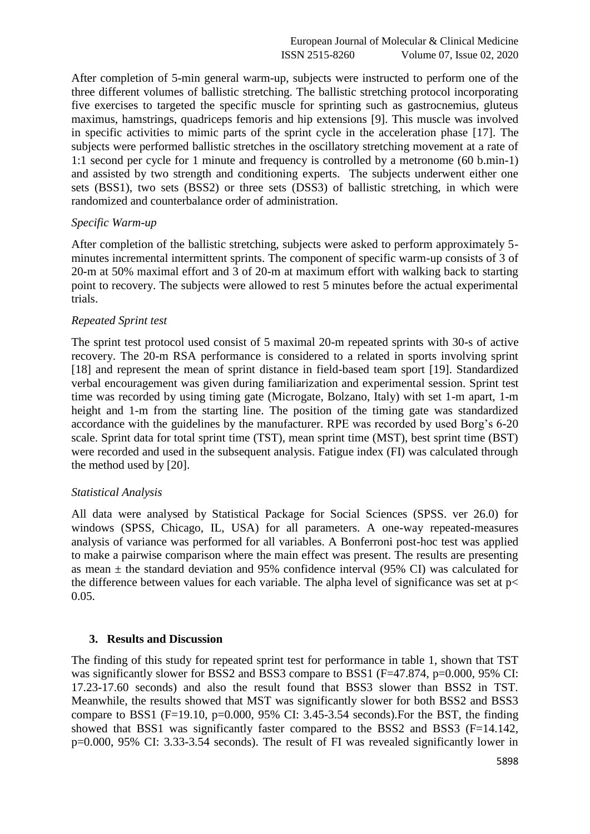After completion of 5-min general warm-up, subjects were instructed to perform one of the three different volumes of ballistic stretching. The ballistic stretching protocol incorporating five exercises to targeted the specific muscle for sprinting such as gastrocnemius, gluteus maximus, hamstrings, quadriceps femoris and hip extensions [9]. This muscle was involved in specific activities to mimic parts of the sprint cycle in the acceleration phase [17]. The subjects were performed ballistic stretches in the oscillatory stretching movement at a rate of 1:1 second per cycle for 1 minute and frequency is controlled by a metronome (60 b.min-1) and assisted by two strength and conditioning experts. The subjects underwent either one sets (BSS1), two sets (BSS2) or three sets (DSS3) of ballistic stretching, in which were randomized and counterbalance order of administration.

## *Specific Warm-up*

After completion of the ballistic stretching, subjects were asked to perform approximately 5 minutes incremental intermittent sprints. The component of specific warm-up consists of 3 of 20-m at 50% maximal effort and 3 of 20-m at maximum effort with walking back to starting point to recovery. The subjects were allowed to rest 5 minutes before the actual experimental trials.

## *Repeated Sprint test*

The sprint test protocol used consist of 5 maximal 20-m repeated sprints with 30-s of active recovery. The 20-m RSA performance is considered to a related in sports involving sprint [18] and represent the mean of sprint distance in field-based team sport [19]. Standardized verbal encouragement was given during familiarization and experimental session. Sprint test time was recorded by using timing gate (Microgate, Bolzano, Italy) with set 1-m apart, 1-m height and 1-m from the starting line. The position of the timing gate was standardized accordance with the guidelines by the manufacturer. RPE was recorded by used Borg's 6-20 scale. Sprint data for total sprint time (TST), mean sprint time (MST), best sprint time (BST) were recorded and used in the subsequent analysis. Fatigue index (FI) was calculated through the method used by [20].

# *Statistical Analysis*

All data were analysed by Statistical Package for Social Sciences (SPSS. ver 26.0) for windows (SPSS, Chicago, IL, USA) for all parameters. A one-way repeated-measures analysis of variance was performed for all variables. A Bonferroni post-hoc test was applied to make a pairwise comparison where the main effect was present. The results are presenting as mean  $\pm$  the standard deviation and 95% confidence interval (95% CI) was calculated for the difference between values for each variable. The alpha level of significance was set at  $p<$ 0.05.

#### **3. Results and Discussion**

The finding of this study for repeated sprint test for performance in table 1, shown that TST was significantly slower for BSS2 and BSS3 compare to BSS1 (F=47.874, p=0.000, 95% CI: 17.23-17.60 seconds) and also the result found that BSS3 slower than BSS2 in TST. Meanwhile, the results showed that MST was significantly slower for both BSS2 and BSS3 compare to BSS1 (F=19.10,  $p=0.000$ , 95% CI: 3.45-3.54 seconds). For the BST, the finding showed that BSS1 was significantly faster compared to the BSS2 and BSS3 (F=14.142, p=0.000, 95% CI: 3.33-3.54 seconds). The result of FI was revealed significantly lower in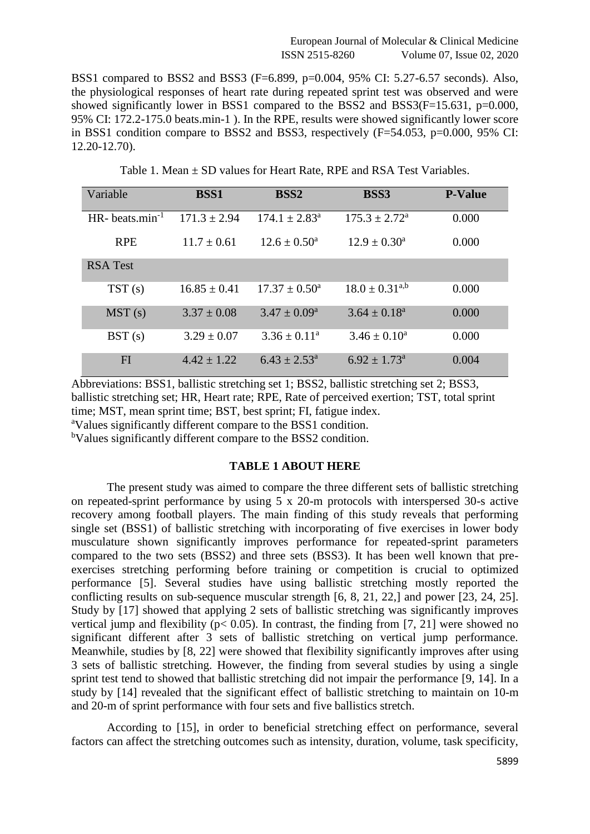BSS1 compared to BSS2 and BSS3 (F=6.899, p=0.004, 95% CI: 5.27-6.57 seconds). Also, the physiological responses of heart rate during repeated sprint test was observed and were showed significantly lower in BSS1 compared to the BSS2 and BSS3( $F=15.631$ ,  $p=0.000$ , 95% CI: 172.2-175.0 beats.min-1 ). In the RPE, results were showed significantly lower score in BSS1 condition compare to BSS2 and BSS3, respectively (F=54.053, p=0.000, 95% CI: 12.20-12.70).

| Variable             | <b>BSS1</b>      | <b>BSS2</b>              | <b>BSS3</b>                  | <b>P-Value</b> |
|----------------------|------------------|--------------------------|------------------------------|----------------|
| HR-beats.min $^{-1}$ | $171.3 \pm 2.94$ | $174.1 \pm 2.83^{\circ}$ | $175.3 \pm 2.72^{\text{a}}$  | 0.000          |
| <b>RPE</b>           | $11.7 + 0.61$    | $12.6 + 0.50^a$          | $12.9 \pm 0.30^{\text{a}}$   | 0.000          |
| <b>RSA Test</b>      |                  |                          |                              |                |
| TST(s)               | $16.85 \pm 0.41$ | $17.37 \pm 0.50^{\circ}$ | $18.0 \pm 0.31^{a,b}$        | 0.000          |
| MST(s)               | $3.37 \pm 0.08$  | $3.47 \pm 0.09^{\circ}$  | $3.64 \pm 0.18^a$            | 0.000          |
| BST(s)               | $3.29 \pm 0.07$  | $3.36 \pm 0.11^a$        | $3.46 \pm 0.10^a$            | 0.000          |
| FI                   | $4.42 \pm 1.22$  | $6.43 \pm 2.53^{\circ}$  | $6.92 \pm 1.73$ <sup>a</sup> | 0.004          |

Table 1. Mean ± SD values for Heart Rate, RPE and RSA Test Variables.

Abbreviations: BSS1, ballistic stretching set 1; BSS2, ballistic stretching set 2; BSS3, ballistic stretching set; HR, Heart rate; RPE, Rate of perceived exertion; TST, total sprint time; MST, mean sprint time; BST, best sprint; FI, fatigue index.

<sup>a</sup>Values significantly different compare to the BSS1 condition.

<sup>b</sup>Values significantly different compare to the BSS2 condition.

## **TABLE 1 ABOUT HERE**

The present study was aimed to compare the three different sets of ballistic stretching on repeated-sprint performance by using 5 x 20-m protocols with interspersed 30-s active recovery among football players. The main finding of this study reveals that performing single set (BSS1) of ballistic stretching with incorporating of five exercises in lower body musculature shown significantly improves performance for repeated-sprint parameters compared to the two sets (BSS2) and three sets (BSS3). It has been well known that preexercises stretching performing before training or competition is crucial to optimized performance [5]. Several studies have using ballistic stretching mostly reported the conflicting results on sub-sequence muscular strength [6, 8, 21, 22,] and power [23, 24, 25]. Study by [17] showed that applying 2 sets of ballistic stretching was significantly improves vertical jump and flexibility ( $p < 0.05$ ). In contrast, the finding from [7, 21] were showed no significant different after 3 sets of ballistic stretching on vertical jump performance. Meanwhile, studies by [8, 22] were showed that flexibility significantly improves after using 3 sets of ballistic stretching. However, the finding from several studies by using a single sprint test tend to showed that ballistic stretching did not impair the performance [9, 14]. In a study by [14] revealed that the significant effect of ballistic stretching to maintain on 10-m and 20-m of sprint performance with four sets and five ballistics stretch.

According to [15], in order to beneficial stretching effect on performance, several factors can affect the stretching outcomes such as intensity, duration, volume, task specificity,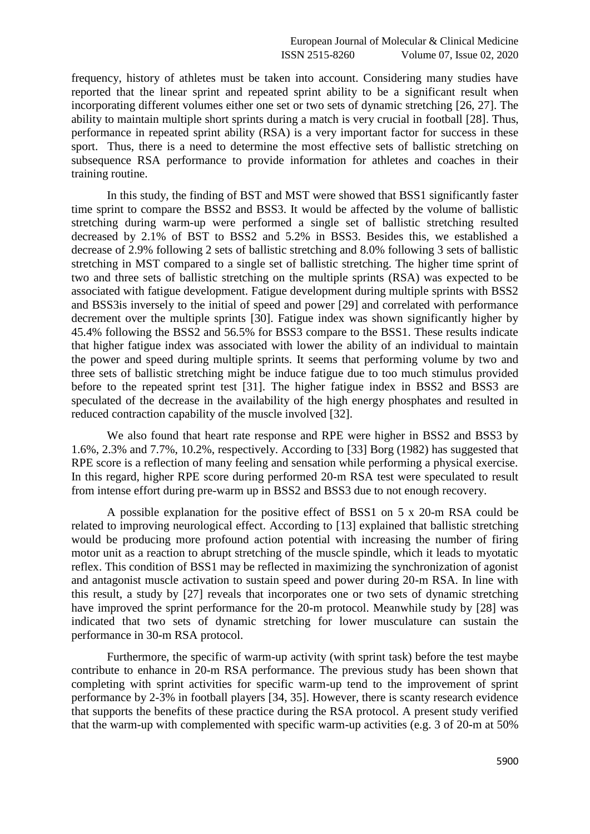frequency, history of athletes must be taken into account. Considering many studies have reported that the linear sprint and repeated sprint ability to be a significant result when incorporating different volumes either one set or two sets of dynamic stretching [26, 27]. The ability to maintain multiple short sprints during a match is very crucial in football [28]. Thus, performance in repeated sprint ability (RSA) is a very important factor for success in these sport. Thus, there is a need to determine the most effective sets of ballistic stretching on subsequence RSA performance to provide information for athletes and coaches in their training routine.

In this study, the finding of BST and MST were showed that BSS1 significantly faster time sprint to compare the BSS2 and BSS3. It would be affected by the volume of ballistic stretching during warm-up were performed a single set of ballistic stretching resulted decreased by 2.1% of BST to BSS2 and 5.2% in BSS3. Besides this, we established a decrease of 2.9% following 2 sets of ballistic stretching and 8.0% following 3 sets of ballistic stretching in MST compared to a single set of ballistic stretching. The higher time sprint of two and three sets of ballistic stretching on the multiple sprints (RSA) was expected to be associated with fatigue development. Fatigue development during multiple sprints with BSS2 and BSS3is inversely to the initial of speed and power [29] and correlated with performance decrement over the multiple sprints [30]. Fatigue index was shown significantly higher by 45.4% following the BSS2 and 56.5% for BSS3 compare to the BSS1. These results indicate that higher fatigue index was associated with lower the ability of an individual to maintain the power and speed during multiple sprints. It seems that performing volume by two and three sets of ballistic stretching might be induce fatigue due to too much stimulus provided before to the repeated sprint test [31]. The higher fatigue index in BSS2 and BSS3 are speculated of the decrease in the availability of the high energy phosphates and resulted in reduced contraction capability of the muscle involved [32].

We also found that heart rate response and RPE were higher in BSS2 and BSS3 by 1.6%, 2.3% and 7.7%, 10.2%, respectively. According to [33] Borg (1982) has suggested that RPE score is a reflection of many feeling and sensation while performing a physical exercise. In this regard, higher RPE score during performed 20-m RSA test were speculated to result from intense effort during pre-warm up in BSS2 and BSS3 due to not enough recovery.

A possible explanation for the positive effect of BSS1 on 5 x 20-m RSA could be related to improving neurological effect. According to [13] explained that ballistic stretching would be producing more profound action potential with increasing the number of firing motor unit as a reaction to abrupt stretching of the muscle spindle, which it leads to myotatic reflex. This condition of BSS1 may be reflected in maximizing the synchronization of agonist and antagonist muscle activation to sustain speed and power during 20-m RSA. In line with this result, a study by [27] reveals that incorporates one or two sets of dynamic stretching have improved the sprint performance for the 20-m protocol. Meanwhile study by [28] was indicated that two sets of dynamic stretching for lower musculature can sustain the performance in 30-m RSA protocol.

Furthermore, the specific of warm-up activity (with sprint task) before the test maybe contribute to enhance in 20-m RSA performance. The previous study has been shown that completing with sprint activities for specific warm-up tend to the improvement of sprint performance by 2-3% in football players [34, 35]. However, there is scanty research evidence that supports the benefits of these practice during the RSA protocol. A present study verified that the warm-up with complemented with specific warm-up activities (e.g. 3 of 20-m at 50%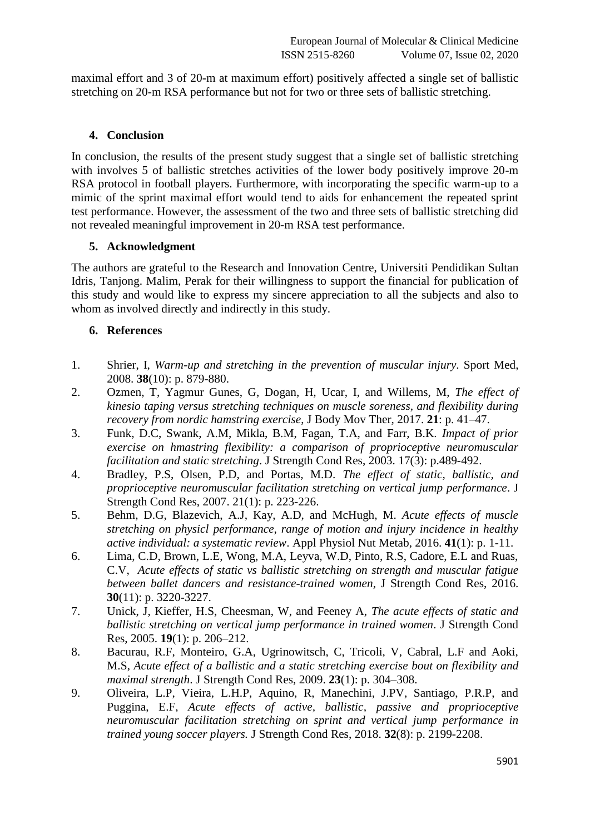maximal effort and 3 of 20-m at maximum effort) positively affected a single set of ballistic stretching on 20-m RSA performance but not for two or three sets of ballistic stretching.

# **4. Conclusion**

In conclusion, the results of the present study suggest that a single set of ballistic stretching with involves 5 of ballistic stretches activities of the lower body positively improve 20-m RSA protocol in football players. Furthermore, with incorporating the specific warm-up to a mimic of the sprint maximal effort would tend to aids for enhancement the repeated sprint test performance. However, the assessment of the two and three sets of ballistic stretching did not revealed meaningful improvement in 20-m RSA test performance.

## **5. Acknowledgment**

The authors are grateful to the Research and Innovation Centre, Universiti Pendidikan Sultan Idris, Tanjong. Malim, Perak for their willingness to support the financial for publication of this study and would like to express my sincere appreciation to all the subjects and also to whom as involved directly and indirectly in this study.

# **6. References**

- 1. Shrier, I, *Warm-up and stretching in the prevention of muscular injury.* Sport Med, 2008. **38**(10): p. 879-880.
- 2. Ozmen, T, Yagmur Gunes, G, Dogan, H, Ucar, I, and Willems, M, *The effect of kinesio taping versus stretching techniques on muscle soreness, and flexibility during recovery from nordic hamstring exercise*, J Body Mov Ther, 2017. **21**: p. 41–47.
- 3. Funk, D.C, Swank, A.M, Mikla, B.M, Fagan, T.A, and Farr, B.K. *Impact of prior exercise on hmastring flexibility: a comparison of proprioceptive neuromuscular facilitation and static stretching*. J Strength Cond Res, 2003. 17(3): p.489-492.
- 4. Bradley, P.S, Olsen, P.D, and Portas, M.D. *The effect of static, ballistic, and proprioceptive neuromuscular facilitation stretching on vertical jump performance*. J Strength Cond Res, 2007. 21(1): p. 223-226.
- 5. Behm, D.G, Blazevich, A.J, Kay, A.D, and McHugh, M. *Acute effects of muscle stretching on physicl performance, range of motion and injury incidence in healthy active individual: a systematic review*. Appl Physiol Nut Metab, 2016. **41**(1): p. 1-11.
- 6. Lima, C.D, Brown, L.E, Wong, M.A, Leyva, W.D, Pinto, R.S, Cadore, E.L and Ruas, C.V, *Acute effects of static vs ballistic stretching on strength and muscular fatigue between ballet dancers and resistance-trained women*, J Strength Cond Res, 2016. **30**(11): p. 3220-3227.
- 7. Unick, J, Kieffer, H.S, Cheesman, W, and Feeney A, *The acute effects of static and ballistic stretching on vertical jump performance in trained women*. J Strength Cond Res, 2005. **19**(1): p. 206–212.
- 8. Bacurau, R.F, Monteiro, G.A, Ugrinowitsch, C, Tricoli, V, Cabral, L.F and Aoki, M.S, *Acute effect of a ballistic and a static stretching exercise bout on flexibility and maximal strength*. J Strength Cond Res, 2009. **23**(1): p. 304–308.
- 9. Oliveira, L.P, Vieira, L.H.P, Aquino, R, Manechini, J.PV, Santiago, P.R.P, and Puggina, E.F, *Acute effects of active, ballistic, passive and proprioceptive neuromuscular facilitation stretching on sprint and vertical jump performance in trained young soccer players.* J Strength Cond Res, 2018. **32**(8): p. 2199-2208.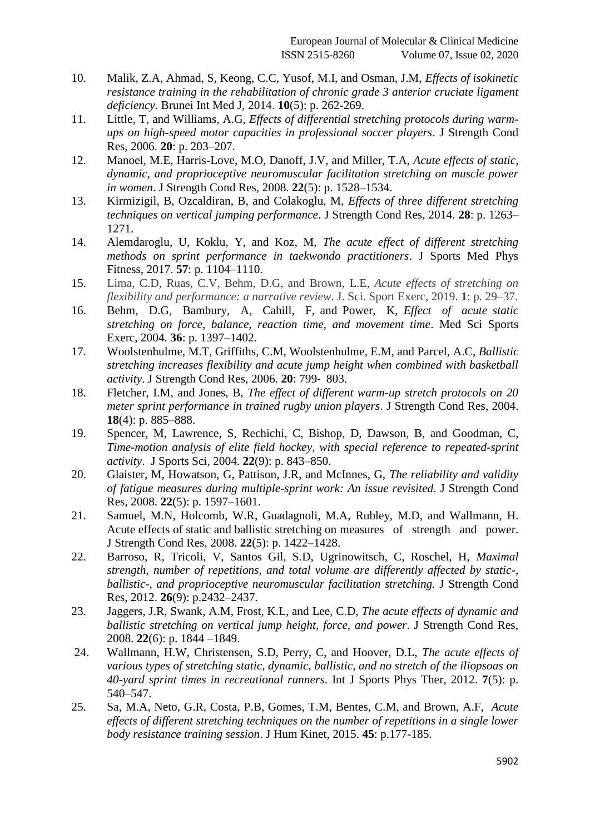- 10. Malik, Z.A, Ahmad, S, Keong, C.C, Yusof, M.I, and Osman, J.M, *Effects of isokinetic resistance training in the rehabilitation of chronic grade 3 anterior cruciate ligament deficiency*. Brunei Int Med J, 2014. **10**(5): p. 262-269.
- 11. Little, T, and Williams, A.G, *Effects of differential stretching protocols during warmups on high-speed motor capacities in professional soccer players*. J Strength Cond Res, 2006. **20**: p. 203–207.
- 12. Manoel, M.E, Harris-Love, M.O, Danoff, J.V, and Miller, T.A, *Acute effects of static, dynamic, and proprioceptive neuromuscular facilitation stretching on muscle power in women*. J Strength Cond Res, 2008. **22**(5): p. 1528–1534.
- 13. Kirmizigil, B, Ozcaldiran, B, and Colakoglu, M, *Effects of three different stretching techniques on vertical jumping performance*. J Strength Cond Res, 2014. **28**: p. 1263– 1271.
- 14. Alemdaroglu, U, Koklu, Y, and Koz, M, *The acute effect of different stretching methods on sprint performance in taekwondo practitioners*. J Sports Med Phys Fitness, 2017. **57**: p. 1104–1110.
- 15. Lima, C.D, Ruas, C.V, Behm, D.G, and Brown, L.E, *Acute effects of stretching on flexibility and performance: a narrative review*. J. Sci. Sport Exerc, 2019. **1**: p. 29–37.
- 16. Behm, D.G, Bambury, A, Cahill, F, and Power, K, *Effect of acute static stretching on force, balance, reaction time, and movement time*. Med Sci Sports Exerc, 2004. **36**: p. 1397–1402.
- 17. Woolstenhulme, M.T, Griffiths, C.M, Woolstenhulme, E.M, and Parcel, A.C, *Ballistic stretching increases flexibility and acute jump height when combined with basketball activity*. J Strength Cond Res, 2006. **20**: 799‐ 803.
- 18. Fletcher, I.M, and Jones, B, *The effect of different warm-up stretch protocols on 20 meter sprint performance in trained rugby union players*. J Strength Cond Res, 2004. **18**(4): p. 885–888.
- 19. Spencer, M, Lawrence, S, Rechichi, C, Bishop, D, Dawson, B, and Goodman, C, *Time-motion analysis of elite field hockey, with special reference to repeated-sprint activity*. J Sports Sci, 2004. **22**(9): p. 843–850.
- 20. Glaister, M, Howatson, G, Pattison, J.R, and McInnes, G, *The reliability and validity of fatigue measures during multiple-sprint work: An issue revisited*. J Strength Cond Res, 2008. **22**(5): p. 1597–1601.
- 21. Samuel, M.N, Holcomb, W.R, Guadagnoli, M.A, Rubley, M.D, and Wallmann, H. Acute effects of static and ballistic stretching on measures of strength and power. J Strength Cond Res, 2008. **22**(5): p. 1422–1428.
- 22. Barroso, R, Tricoli, V, Santos Gil, S.D, Ugrinowitsch, C, Roschel, H, *Maximal strength, number of repetitions, and total volume are differently affected by static-, ballistic-, and proprioceptive neuromuscular facilitation stretching.* J Strength Cond Res, 2012. **26**(9): p.2432–2437.
- 23. Jaggers, J.R, Swank, A.M, Frost, K.L, and Lee, C.D, *The acute effects of dynamic and ballistic stretching on vertical jump height, force, and power*. J Strength Cond Res, 2008. **22**(6): p. 1844 –1849.
- 24. Wallmann, H.W, Christensen, S.D, Perry, C, and Hoover, D.L, *The acute effects of various types of stretching static, dynamic, ballistic, and no stretch of the iliopsoas on 40-yard sprint times in recreational runners*. Int J Sports Phys Ther, 2012. **7**(5): p. 540–547.
- 25. Sa, M.A, Neto, G.R, Costa, P.B, Gomes, T.M, Bentes, C.M, and Brown, A.F, *Acute effects of different stretching techniques on the number of repetitions in a single lower body resistance training session*. J Hum Kinet, 2015. **45**: p.177-185.